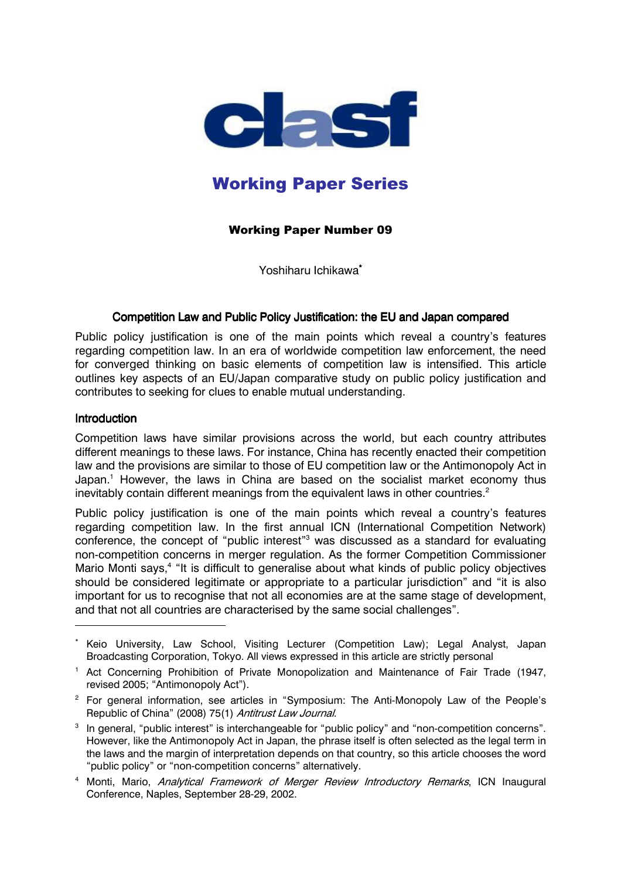

# **Working Paper Series**

# **Working Paper Number 09**

Yoshiharu Ichikawa\*

# Competition Law and Public Policy Justification: the EU and Japan compared

Public policy justification is one of the main points which reveal a country's features regarding competition law. In an era of worldwide competition law enforcement, the need for converged thinking on basic elements of competition law is intensified. This article outlines key aspects of an EU/Japan comparative study on public policy justification and contributes to seeking for clues to enable mutual understanding.

#### **Introduction**

Competition laws have similar provisions across the world, but each country attributes different meanings to these laws. For instance, China has recently enacted their competition law and the provisions are similar to those of EU competition law or the Antimonopoly Act in Japan.<sup>1</sup> However, the laws in China are based on the socialist market economy thus inevitably contain different meanings from the equivalent laws in other countries.<sup>2</sup>

Public policy justification is one of the main points which reveal a country's features regarding competition law. In the first annual ICN (International Competition Network) conference, the concept of "public interest"<sup>3</sup> was discussed as a standard for evaluating non-competition concerns in merger regulation. As the former Competition Commissioner Mario Monti says,<sup>4</sup> "It is difficult to generalise about what kinds of public policy objectives should be considered legitimate or appropriate to a particular jurisdiction" and "it is also important for us to recognise that not all economies are at the same stage of development, and that not all countries are characterised by the same social challenges".

Keio University, Law School, Visiting Lecturer (Competition Law); Legal Analyst, Japan Broadcasting Corporation, Tokyo. All views expressed in this article are strictly personal

<sup>&</sup>lt;sup>1</sup> Act Concerning Prohibition of Private Monopolization and Maintenance of Fair Trade (1947, revised 2005; "Antimonopoly Act").

<sup>&</sup>lt;sup>2</sup> For general information, see articles in "Symposium: The Anti-Monopoly Law of the People's Republic of China" (2008) 75(1) Antitrust Law Journal.

<sup>&</sup>lt;sup>3</sup> In general, "public interest" is interchangeable for "public policy" and "non-competition concerns". However, like the Antimonopoly Act in Japan, the phrase itself is often selected as the legal term in the laws and the margin of interpretation depends on that country, so this article chooses the word "public policy" or "non-competition concerns" alternatively.

<sup>&</sup>lt;sup>4</sup> Monti, Mario, Analytical Framework of Merger Review Introductory Remarks, ICN Inaugural Conference, Naples, September 28-29, 2002.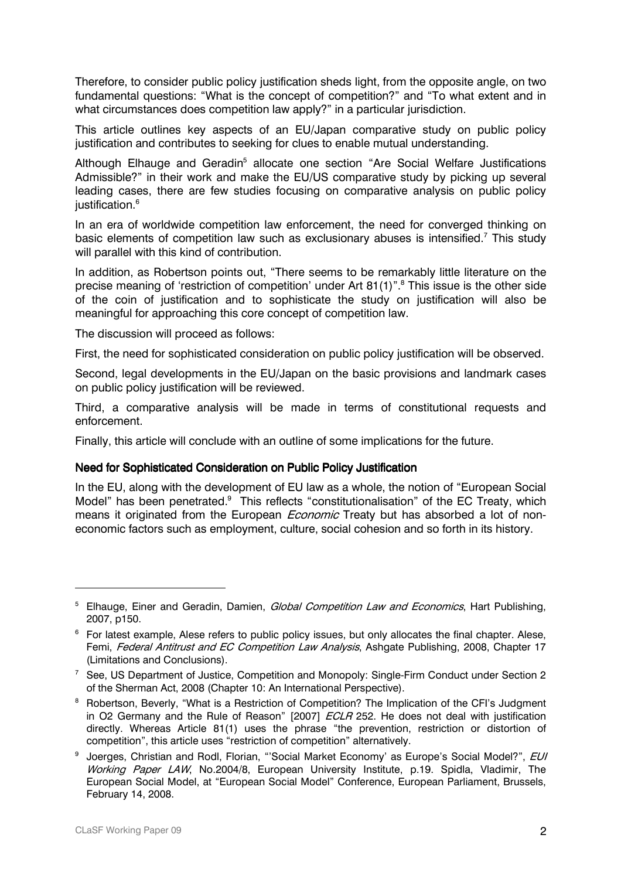Therefore, to consider public policy justification sheds light, from the opposite angle, on two fundamental questions: "What is the concept of competition?" and "To what extent and in what circumstances does competition law apply?" in a particular jurisdiction.

This article outlines key aspects of an EU/Japan comparative study on public policy justification and contributes to seeking for clues to enable mutual understanding.

Although Elhauge and Geradin<sup>5</sup> allocate one section "Are Social Welfare Justifications Admissible?" in their work and make the EU/US comparative study by picking up several leading cases, there are few studies focusing on comparative analysis on public policy justification.<sup>6</sup>

In an era of worldwide competition law enforcement, the need for converged thinking on basic elements of competition law such as exclusionary abuses is intensified.<sup>7</sup> This study will parallel with this kind of contribution.

In addition, as Robertson points out, "There seems to be remarkably little literature on the precise meaning of 'restriction of competition' under Art 81(1)".<sup>8</sup> This issue is the other side of the coin of justification and to sophisticate the study on justification will also be meaningful for approaching this core concept of competition law.

The discussion will proceed as follows:

First, the need for sophisticated consideration on public policy justification will be observed.

Second, legal developments in the EU/Japan on the basic provisions and landmark cases on public policy justification will be reviewed.

Third, a comparative analysis will be made in terms of constitutional requests and enforcement.

Finally, this article will conclude with an outline of some implications for the future.

# Need for Sophisticated Consideration on Public Policy Justification

In the EU, along with the development of EU law as a whole, the notion of "European Social Model" has been penetrated.<sup>9</sup> This reflects "constitutionalisation" of the EC Treaty, which means it originated from the European *Economic* Treaty but has absorbed a lot of noneconomic factors such as employment, culture, social cohesion and so forth in its history.

<sup>&</sup>lt;sup>5</sup> Elhauge, Einer and Geradin, Damien, Global Competition Law and Economics, Hart Publishing, 2007, p150.

<sup>&</sup>lt;sup>6</sup> For latest example, Alese refers to public policy issues, but only allocates the final chapter. Alese, Femi, Federal Antitrust and EC Competition Law Analysis, Ashgate Publishing, 2008, Chapter 17 (Limitations and Conclusions).

<sup>&</sup>lt;sup>7</sup> See, US Department of Justice, Competition and Monopoly: Single-Firm Conduct under Section 2 of the Sherman Act, 2008 (Chapter 10: An International Perspective).

<sup>&</sup>lt;sup>8</sup> Robertson, Beverly, "What is a Restriction of Competition? The Implication of the CFI's Judgment in O2 Germany and the Rule of Reason" [2007] ECLR 252. He does not deal with justification directly. Whereas Article 81(1) uses the phrase "the prevention, restriction or distortion of competition", this article uses "restriction of competition" alternatively.

<sup>&</sup>lt;sup>9</sup> Joerges, Christian and Rodl, Florian, "'Social Market Economy' as Europe's Social Model?", EUI Working Paper LAW, No.2004/8, European University Institute, p.19. Spidla, Vladimir, The European Social Model, at "European Social Model" Conference, European Parliament, Brussels, February 14, 2008.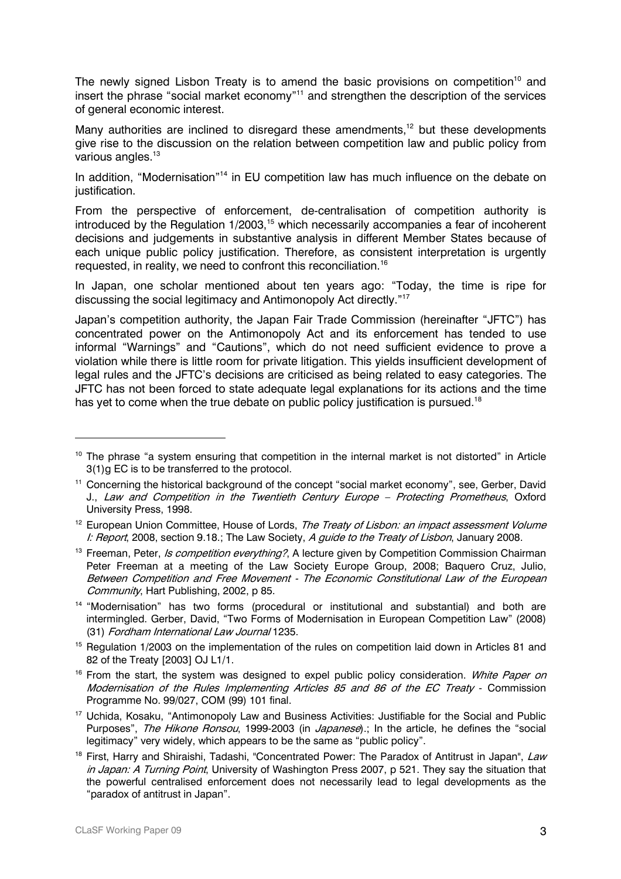The newly signed Lisbon Treaty is to amend the basic provisions on competition<sup>10</sup> and insert the phrase "social market economy"<sup>11</sup> and strengthen the description of the services of general economic interest.

Many authorities are inclined to disregard these amendments,<sup>12</sup> but these developments give rise to the discussion on the relation between competition law and public policy from various angles.<sup>13</sup>

In addition, "Modernisation"<sup>14</sup> in EU competition law has much influence on the debate on iustification.

From the perspective of enforcement, de-centralisation of competition authority is introduced by the Regulation 1/2003,<sup>15</sup> which necessarily accompanies a fear of incoherent decisions and judgements in substantive analysis in different Member States because of each unique public policy justification. Therefore, as consistent interpretation is urgently requested, in reality, we need to confront this reconciliation.<sup>16</sup>

In Japan, one scholar mentioned about ten years ago: "Today, the time is ripe for discussing the social legitimacy and Antimonopoly Act directly."<sup>17</sup>

Japan's competition authority, the Japan Fair Trade Commission (hereinafter "JFTC") has concentrated power on the Antimonopoly Act and its enforcement has tended to use informal "Warnings" and "Cautions", which do not need sufficient evidence to prove a violation while there is little room for private litigation. This yields insufficient development of legal rules and the JFTC's decisions are criticised as being related to easy categories. The JFTC has not been forced to state adequate legal explanations for its actions and the time has yet to come when the true debate on public policy justification is pursued.<sup>18</sup>

<sup>&</sup>lt;sup>10</sup> The phrase "a system ensuring that competition in the internal market is not distorted" in Article 3(1)g EC is to be transferred to the protocol.

<sup>&</sup>lt;sup>11</sup> Concerning the historical background of the concept "social market economy", see, Gerber, David J., Law and Competition in the Twentieth Century Europe - Protecting Prometheus, Oxford University Press, 1998.

<sup>&</sup>lt;sup>12</sup> European Union Committee, House of Lords, The Treaty of Lisbon: an impact assessment Volume I: Report, 2008, section 9.18.; The Law Society, A guide to the Treaty of Lisbon, January 2008.

<sup>&</sup>lt;sup>13</sup> Freeman, Peter, *Is competition everything?*, A lecture given by Competition Commission Chairman Peter Freeman at a meeting of the Law Society Europe Group, 2008; Baquero Cruz, Julio, Between Competition and Free Movement - The Economic Constitutional Law of the European Community, Hart Publishing, 2002, p 85.

<sup>&</sup>lt;sup>14</sup> "Modernisation" has two forms (procedural or institutional and substantial) and both are intermingled. Gerber, David, "Two Forms of Modernisation in European Competition Law" (2008) (31) Fordham International Law Journal 1235.

<sup>&</sup>lt;sup>15</sup> Requlation 1/2003 on the implementation of the rules on competition laid down in Articles 81 and 82 of the Treaty [2003] OJ L1/1.

<sup>&</sup>lt;sup>16</sup> From the start, the system was designed to expel public policy consideration. White Paper on Modernisation of the Rules Implementing Articles 85 and 86 of the EC Treaty - Commission Programme No. 99/027, COM (99) 101 final.

<sup>&</sup>lt;sup>17</sup> Uchida, Kosaku, "Antimonopoly Law and Business Activities: Justifiable for the Social and Public Purposes". The Hikone Ronsou, 1999-2003 (in Japanese).: In the article, he defines the "social legitimacy" very widely, which appears to be the same as "public policy".

<sup>&</sup>lt;sup>18</sup> First, Harry and Shiraishi, Tadashi, "Concentrated Power: The Paradox of Antitrust in Japan", *Law* in Japan: A Turning Point, University of Washington Press 2007, p 521. They say the situation that the powerful centralised enforcement does not necessarily lead to legal developments as the "paradox of antitrust in Japan".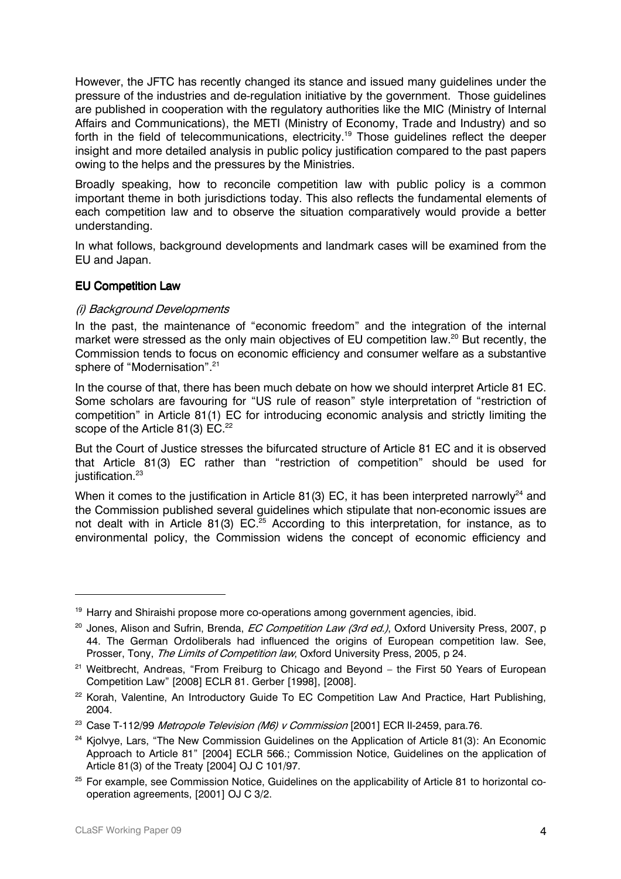However, the JFTC has recently changed its stance and issued many quidelines under the pressure of the industries and de-regulation initiative by the government. Those guidelines are published in cooperation with the regulatory authorities like the MIC (Ministry of Internal Affairs and Communications), the METI (Ministry of Economy, Trade and Industry) and so forth in the field of telecommunications, electricity.<sup>19</sup> Those quidelines reflect the deeper insight and more detailed analysis in public policy justification compared to the past papers owing to the helps and the pressures by the Ministries.

Broadly speaking, how to reconcile competition law with public policy is a common important theme in both jurisdictions today. This also reflects the fundamental elements of each competition law and to observe the situation comparatively would provide a better understanding.

In what follows, background developments and landmark cases will be examined from the EU and Japan.

# **EU Competition Law**

# (i) Background Developments

In the past, the maintenance of "economic freedom" and the integration of the internal market were stressed as the only main objectives of EU competition law.<sup>20</sup> But recently, the Commission tends to focus on economic efficiency and consumer welfare as a substantive sphere of "Modernisation".<sup>21</sup>

In the course of that, there has been much debate on how we should interpret Article 81 EC. Some scholars are favouring for "US rule of reason" style interpretation of "restriction of competition" in Article 81(1) EC for introducing economic analysis and strictly limiting the scope of the Article 81(3) EC.<sup>22</sup>

But the Court of Justice stresses the bifurcated structure of Article 81 EC and it is observed that Article 81(3) EC rather than "restriction of competition" should be used for iustification.<sup>23</sup>

When it comes to the justification in Article 81(3) EC, it has been interpreted narrowly<sup>24</sup> and the Commission published several quidelines which stipulate that non-economic issues are not dealt with in Article 81(3) EC.<sup>25</sup> According to this interpretation, for instance, as to environmental policy, the Commission widens the concept of economic efficiency and

<sup>&</sup>lt;sup>19</sup> Harry and Shiraishi propose more co-operations among government agencies, ibid.

<sup>&</sup>lt;sup>20</sup> Jones, Alison and Sufrin, Brenda, *EC Competition Law (3rd ed.)*, Oxford University Press, 2007, p 44. The German Ordoliberals had influenced the origins of European competition law. See, Prosser, Tony, The Limits of Competition law, Oxford University Press, 2005, p 24.

<sup>&</sup>lt;sup>21</sup> Weitbrecht, Andreas, "From Freiburg to Chicago and Beyond - the First 50 Years of European Competition Law" [2008] ECLR 81. Gerber [1998], [2008].

<sup>&</sup>lt;sup>22</sup> Korah, Valentine, An Introductory Guide To EC Competition Law And Practice, Hart Publishing, 2004.

<sup>&</sup>lt;sup>23</sup> Case T-112/99 Metropole Television (M6) v Commission [2001] ECR II-2459, para.76.

<sup>&</sup>lt;sup>24</sup> Kiolyve, Lars. "The New Commission Guidelines on the Application of Article 81(3): An Economic Approach to Article 81" [2004] ECLR 566.: Commission Notice. Guidelines on the application of Article 81(3) of the Treaty [2004] OJ C 101/97.

<sup>&</sup>lt;sup>25</sup> For example, see Commission Notice, Guidelines on the applicability of Article 81 to horizontal cooperation agreements, [2001] OJ C 3/2.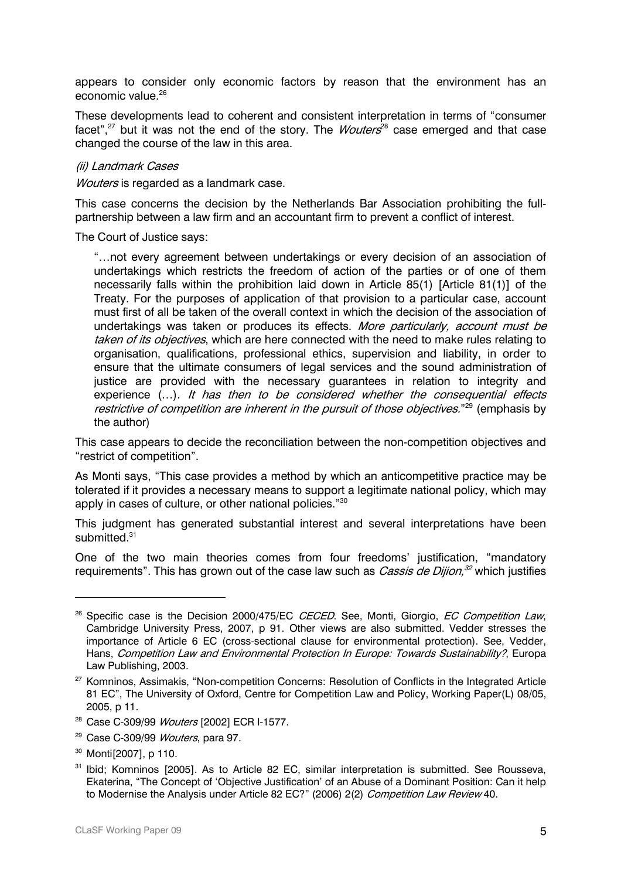appears to consider only economic factors by reason that the environment has an economic value.<sup>26</sup>

These developments lead to coherent and consistent interpretation in terms of "consumer facet",<sup>27</sup> but it was not the end of the story. The *Wouters*<sup>28</sup> case emerged and that case changed the course of the law in this area.

#### (ii) Landmark Cases

Wouters is regarded as a landmark case.

This case concerns the decision by the Netherlands Bar Association prohibiting the fullpartnership between a law firm and an accountant firm to prevent a conflict of interest.

The Court of Justice says:

"...not every agreement between undertakings or every decision of an association of undertakings which restricts the freedom of action of the parties or of one of them necessarily falls within the prohibition laid down in Article 85(1) [Article 81(1)] of the Treaty. For the purposes of application of that provision to a particular case, account must first of all be taken of the overall context in which the decision of the association of undertakings was taken or produces its effects. More particularly, account must be taken of its objectives, which are here connected with the need to make rules relating to organisation, qualifications, professional ethics, supervision and liability, in order to ensure that the ultimate consumers of legal services and the sound administration of justice are provided with the necessary guarantees in relation to integrity and experience (...). It has then to be considered whether the consequential effects restrictive of competition are inherent in the pursuit of those objectives."<sup>29</sup> (emphasis by the author)

This case appears to decide the reconciliation between the non-competition objectives and "restrict of competition".

As Monti says, "This case provides a method by which an anticompetitive practice may be tolerated if it provides a necessary means to support a legitimate national policy, which may apply in cases of culture, or other national policies."30

This judgment has generated substantial interest and several interpretations have been submitted  $31$ 

One of the two main theories comes from four freedoms' justification, "mandatory requirements". This has grown out of the case law such as *Cassis de Dijion*,<sup>32</sup> which justifies

- <sup>28</sup> Case C-309/99 *Wouters* [2002] ECR I-1577.
- <sup>29</sup> Case C-309/99 Wouters, para 97.
- <sup>30</sup> Montil 20071, p 110.

<sup>&</sup>lt;sup>26</sup> Specific case is the Decision 2000/475/EC CECED. See, Monti, Giorgio, EC Competition Law, Cambridge University Press, 2007, p 91. Other views are also submitted. Vedder stresses the importance of Article 6 EC (cross-sectional clause for environmental protection). See, Vedder, Hans, Competition Law and Environmental Protection In Europe: Towards Sustainability?, Europa Law Publishing, 2003.

<sup>&</sup>lt;sup>27</sup> Komninos, Assimakis, "Non-competition Concerns: Resolution of Conflicts in the Integrated Article 81 EC", The University of Oxford, Centre for Competition Law and Policy, Working Paper(L) 08/05, 2005, p 11.

<sup>&</sup>lt;sup>31</sup> Ibid; Komninos [2005]. As to Article 82 EC, similar interpretation is submitted. See Rousseva, Ekaterina, "The Concept of 'Objective Justification' of an Abuse of a Dominant Position: Can it help to Modernise the Analysis under Article 82 EC?" (2006) 2(2) Competition Law Review 40.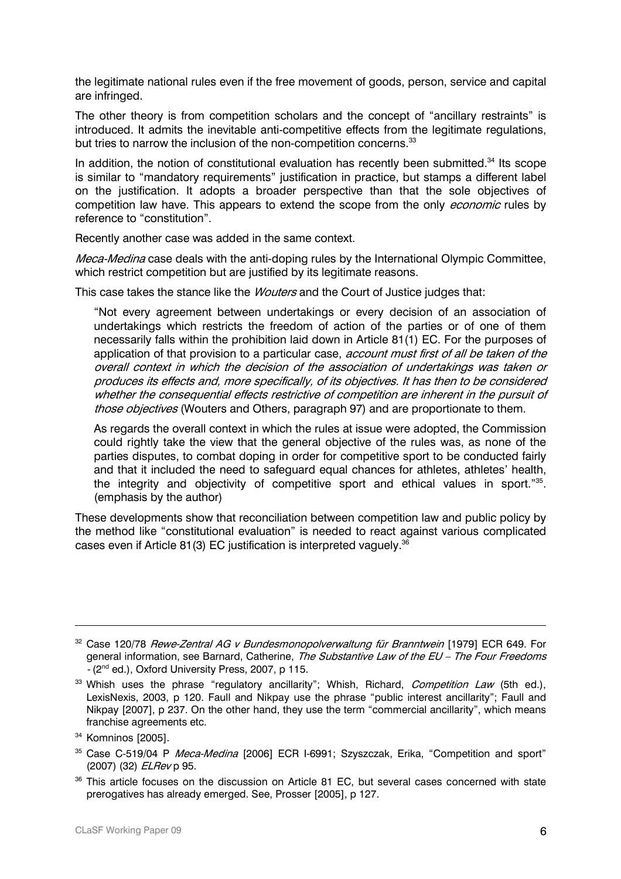the legitimate national rules even if the free movement of goods, person, service and capital are infringed.

The other theory is from competition scholars and the concept of "ancillary restraints" is introduced. It admits the inevitable anti-competitive effects from the legitimate regulations, but tries to narrow the inclusion of the non-competition concerns.<sup>33</sup>

In addition, the notion of constitutional evaluation has recently been submitted.<sup>34</sup> Its scope is similar to "mandatory requirements" justification in practice, but stamps a different label on the justification. It adopts a broader perspective than that the sole objectives of competition law have. This appears to extend the scope from the only *economic* rules by reference to "constitution".

Recently another case was added in the same context.

Meca-Medina case deals with the anti-doping rules by the International Olympic Committee, which restrict competition but are justified by its legitimate reasons.

This case takes the stance like the *Wouters* and the Court of Justice judges that:

"Not every agreement between undertakings or every decision of an association of undertakings which restricts the freedom of action of the parties or of one of them necessarily falls within the prohibition laid down in Article 81(1) EC. For the purposes of application of that provision to a particular case, account must first of all be taken of the overall context in which the decision of the association of undertakings was taken or produces its effects and, more specifically, of its objectives. It has then to be considered whether the consequential effects restrictive of competition are inherent in the pursuit of those objectives (Wouters and Others, paragraph 97) and are proportionate to them.

As regards the overall context in which the rules at issue were adopted, the Commission could rightly take the view that the general objective of the rules was, as none of the parties disputes, to combat doping in order for competitive sport to be conducted fairly and that it included the need to safeguard equal chances for athletes, athletes' health, the integrity and objectivity of competitive sport and ethical values in sport."35. (emphasis by the author)

These developments show that reconciliation between competition law and public policy by the method like "constitutional evaluation" is needed to react against various complicated cases even if Article 81(3) EC justification is interpreted vaquely.<sup>36</sup>

<sup>&</sup>lt;sup>32</sup> Case 120/78 Rewe-Zentral AG v Bundesmonopolverwaltung für Branntwein [1979] ECR 649. For general information, see Barnard, Catherine, The Substantive Law of the EU - The Four Freedoms - (2<sup>nd</sup> ed.), Oxford University Press, 2007, p 115.

<sup>&</sup>lt;sup>33</sup> Whish uses the phrase "regulatory ancillarity"; Whish, Richard, *Competition Law* (5th ed.), LexisNexis, 2003, p 120. Faull and Nikpay use the phrase "public interest ancillarity"; Faull and Nikpay [2007], p 237. On the other hand, they use the term "commercial ancillarity", which means franchise agreements etc.

<sup>&</sup>lt;sup>34</sup> Komninos [2005].

<sup>&</sup>lt;sup>35</sup> Case C-519/04 P Meca-Medina [2006] ECR I-6991; Szyszczak, Erika, "Competition and sport" (2007) (32) ELRev p 95.

<sup>&</sup>lt;sup>36</sup> This article focuses on the discussion on Article 81 EC, but several cases concerned with state prerogatives has already emerged. See, Prosser [2005], p 127.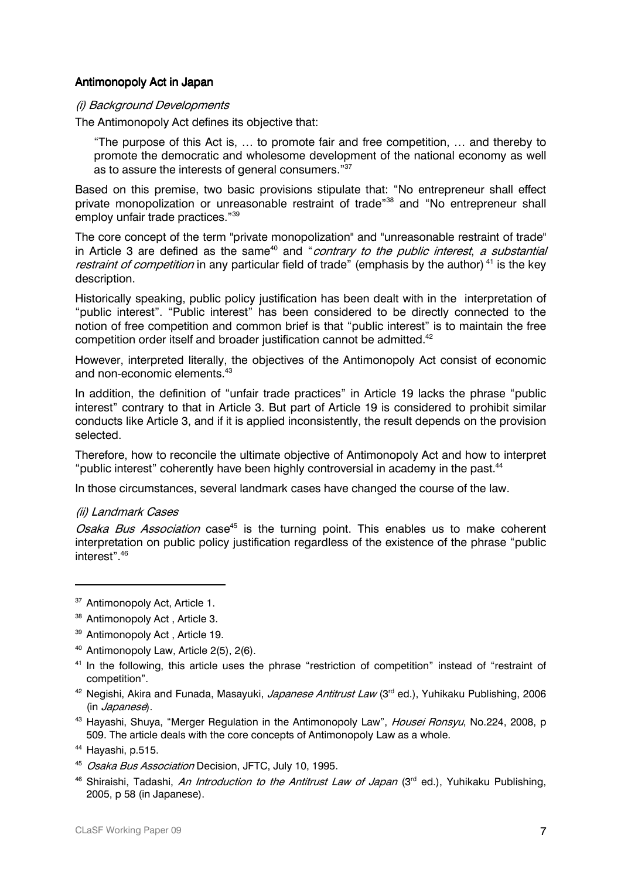#### Antimonopoly Act in Japan

#### (i) Background Developments

The Antimonopoly Act defines its objective that:

"The purpose of this Act is, ... to promote fair and free competition, ... and thereby to promote the democratic and wholesome development of the national economy as well as to assure the interests of general consumers."37

Based on this premise, two basic provisions stipulate that: "No entrepreneur shall effect private monopolization or unreasonable restraint of trade"<sup>38</sup> and "No entrepreneur shall employ unfair trade practices."39

The core concept of the term "private monopolization" and "unreasonable restraint of trade" in Article 3 are defined as the same<sup>40</sup> and "contrary to the public interest, a substantial restraint of competition in any particular field of trade" (emphasis by the author)<sup>41</sup> is the key description.

Historically speaking, public policy justification has been dealt with in the interpretation of "public interest". "Public interest" has been considered to be directly connected to the notion of free competition and common brief is that "public interest" is to maintain the free competition order itself and broader iustification cannot be admitted.<sup>42</sup>

However, interpreted literally, the objectives of the Antimonopoly Act consist of economic and non-economic elements.<sup>43</sup>

In addition, the definition of "unfair trade practices" in Article 19 lacks the phrase "public interest" contrary to that in Article 3. But part of Article 19 is considered to prohibit similar conducts like Article 3, and if it is applied inconsistently, the result depends on the provision selected.

Therefore, how to reconcile the ultimate objective of Antimonopoly Act and how to interpret "public interest" coherently have been highly controversial in academy in the past.<sup>44</sup>

In those circumstances, several landmark cases have changed the course of the law.

# (ii) Landmark Cases

Osaka Bus Association case<sup>45</sup> is the turning point. This enables us to make coherent interpretation on public policy justification regardless of the existence of the phrase "public interest".<sup>46</sup>

<sup>40</sup> Antimonopoly Law, Article 2(5), 2(6).

<sup>43</sup> Havashi, Shuva, "Merger Regulation in the Antimonopoly Law", *Housei Ronsyu*, No.224, 2008, p 509. The article deals with the core concepts of Antimonopoly Law as a whole.

<sup>&</sup>lt;sup>37</sup> Antimonopoly Act, Article 1.

<sup>&</sup>lt;sup>38</sup> Antimonopoly Act, Article 3.

<sup>&</sup>lt;sup>39</sup> Antimonopoly Act, Article 19.

<sup>&</sup>lt;sup>41</sup> In the following, this article uses the phrase "restriction of competition" instead of "restraint of competition".

<sup>&</sup>lt;sup>42</sup> Negishi, Akira and Funada, Masayuki, *Japanese Antitrust Law* (3<sup>rd</sup> ed.), Yuhikaku Publishing, 2006 (in Japanese).

<sup>&</sup>lt;sup>44</sup> Havashi, p.515.

<sup>&</sup>lt;sup>45</sup> Osaka Bus Association Decision, JFTC, July 10, 1995.

<sup>&</sup>lt;sup>46</sup> Shiraishi. Tadashi. *An Introduction to the Antitrust Law of Japan* (3<sup>rd</sup> ed.). Yuhikaku Publishing. 2005. p 58 (in Japanese).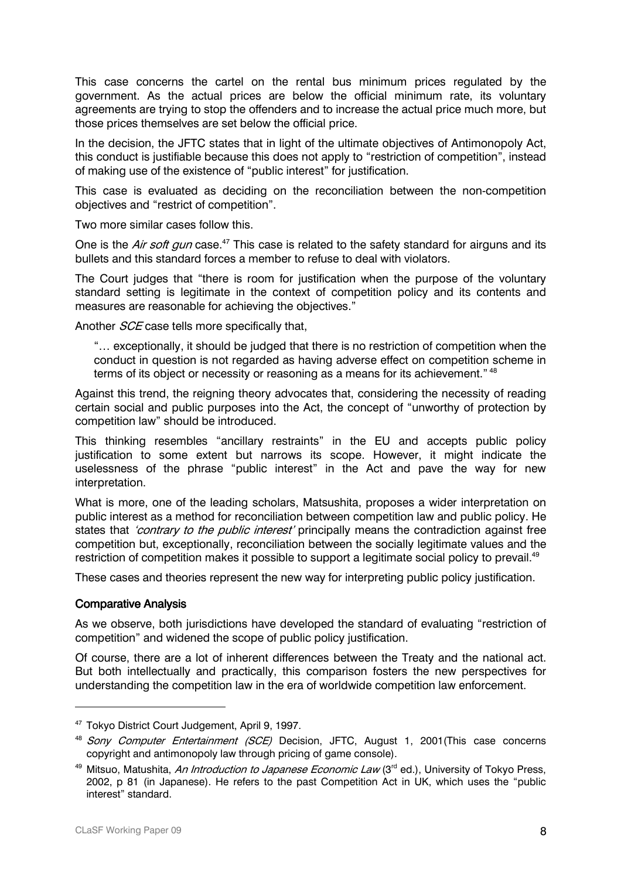This case concerns the cartel on the rental bus minimum prices requiated by the government. As the actual prices are below the official minimum rate, its voluntary agreements are trying to stop the offenders and to increase the actual price much more, but those prices themselves are set below the official price.

In the decision, the JFTC states that in light of the ultimate objectives of Antimonopoly Act. this conduct is justifiable because this does not apply to "restriction of competition", instead of making use of the existence of "public interest" for justification.

This case is evaluated as deciding on the reconciliation between the non-competition objectives and "restrict of competition".

Two more similar cases follow this.

One is the Air soft gun case.<sup>47</sup> This case is related to the safety standard for airguns and its bullets and this standard forces a member to refuse to deal with violators.

The Court judges that "there is room for justification when the purpose of the voluntary standard setting is legitimate in the context of competition policy and its contents and measures are reasonable for achieving the objectives."

Another *SCE* case tells more specifically that,

"... exceptionally, it should be judged that there is no restriction of competition when the conduct in question is not regarded as having adverse effect on competition scheme in terms of its object or necessity or reasoning as a means for its achievement." 48

Against this trend, the reigning theory advocates that, considering the necessity of reading certain social and public purposes into the Act, the concept of "unworthy of protection by competition law" should be introduced.

This thinking resembles "ancillary restraints" in the EU and accepts public policy justification to some extent but narrows its scope. However, it might indicate the uselessness of the phrase "public interest" in the Act and pave the way for new interpretation.

What is more, one of the leading scholars, Matsushita, proposes a wider interpretation on public interest as a method for reconciliation between competition law and public policy. He states that *'contrary to the public interest'* principally means the contradiction against free competition but, exceptionally, reconciliation between the socially legitimate values and the restriction of competition makes it possible to support a legitimate social policy to prevail.<sup>49</sup>

These cases and theories represent the new way for interpreting public policy justification.

#### **Comparative Analysis**

As we observe, both jurisdictions have developed the standard of evaluating "restriction of competition" and widened the scope of public policy justification.

Of course, there are a lot of inherent differences between the Treaty and the national act. But both intellectually and practically, this comparison fosters the new perspectives for understanding the competition law in the era of worldwide competition law enforcement.

<sup>&</sup>lt;sup>47</sup> Tokyo District Court Judgement, April 9, 1997.

<sup>&</sup>lt;sup>48</sup> Sony Computer Entertainment (SCE) Decision, JFTC, August 1, 2001 (This case concerns copyright and antimonopoly law through pricing of game console).

<sup>&</sup>lt;sup>49</sup> Mitsuo, Matushita, *An Introduction to Japanese Economic Law* (3<sup>rd</sup> ed.). University of Tokyo Press. 2002, p 81 (in Japanese). He refers to the past Competition Act in UK, which uses the "public interest" standard.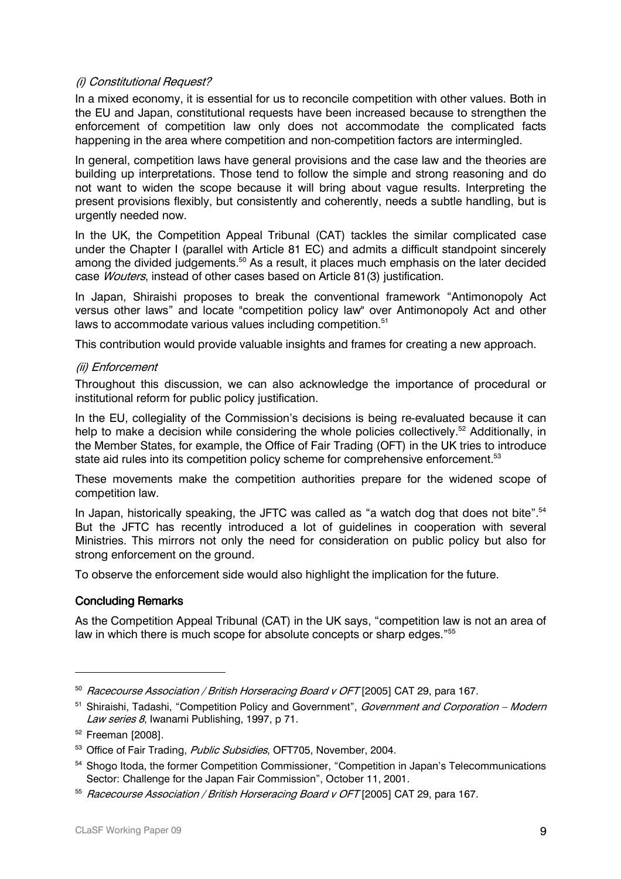# (i) Constitutional Request?

In a mixed economy, it is essential for us to reconcile competition with other values. Both in the EU and Japan, constitutional requests have been increased because to strengthen the enforcement of competition law only does not accommodate the complicated facts happening in the area where competition and non-competition factors are intermingled.

In general, competition laws have general provisions and the case law and the theories are building up interpretations. Those tend to follow the simple and strong reasoning and do not want to widen the scope because it will bring about vague results. Interpreting the present provisions flexibly, but consistently and coherently, needs a subtle handling, but is urgently needed now.

In the UK, the Competition Appeal Tribunal (CAT) tackles the similar complicated case under the Chapter I (parallel with Article 81 EC) and admits a difficult standpoint sincerely among the divided judgements.<sup>50</sup> As a result, it places much emphasis on the later decided case Wouters, instead of other cases based on Article 81(3) justification.

In Japan, Shiraishi proposes to break the conventional framework "Antimonopoly Act" versus other laws" and locate "competition policy law" over Antimonopoly Act and other laws to accommodate various values including competition.<sup>51</sup>

This contribution would provide valuable insights and frames for creating a new approach.

# (ii) Enforcement

Throughout this discussion, we can also acknowledge the importance of procedural or institutional reform for public policy justification.

In the EU, collegiality of the Commission's decisions is being re-evaluated because it can help to make a decision while considering the whole policies collectively.<sup>52</sup> Additionally, in the Member States, for example, the Office of Fair Trading (OFT) in the UK tries to introduce state aid rules into its competition policy scheme for comprehensive enforcement.<sup>53</sup>

These movements make the competition authorities prepare for the widened scope of competition law.

In Japan, historically speaking, the JFTC was called as "a watch dog that does not bite".<sup>54</sup> But the JFTC has recently introduced a lot of guidelines in cooperation with several Ministries. This mirrors not only the need for consideration on public policy but also for strong enforcement on the ground.

To observe the enforcement side would also highlight the implication for the future.

# **Concluding Remarks**

As the Competition Appeal Tribunal (CAT) in the UK says, "competition law is not an area of law in which there is much scope for absolute concepts or sharp edges."55

<sup>&</sup>lt;sup>50</sup> Racecourse Association / British Horseracing Board v OFT [2005] CAT 29, para 167.

<sup>&</sup>lt;sup>51</sup> Shiraishi. Tadashi, "Competition Policy and Government", Government and Corporation - Modern Law series 8, Iwanami Publishing, 1997, p 71.

<sup>&</sup>lt;sup>52</sup> Freeman [2008].

<sup>53</sup> Office of Fair Trading. Public Subsidies. OFT705. November. 2004.

<sup>&</sup>lt;sup>54</sup> Shogo Itoda, the former Competition Commissioner, "Competition in Japan's Telecommunications Sector: Challenge for the Japan Fair Commission", October 11, 2001.

<sup>&</sup>lt;sup>55</sup> Racecourse Association / British Horseracing Board v OFT [2005] CAT 29, para 167.